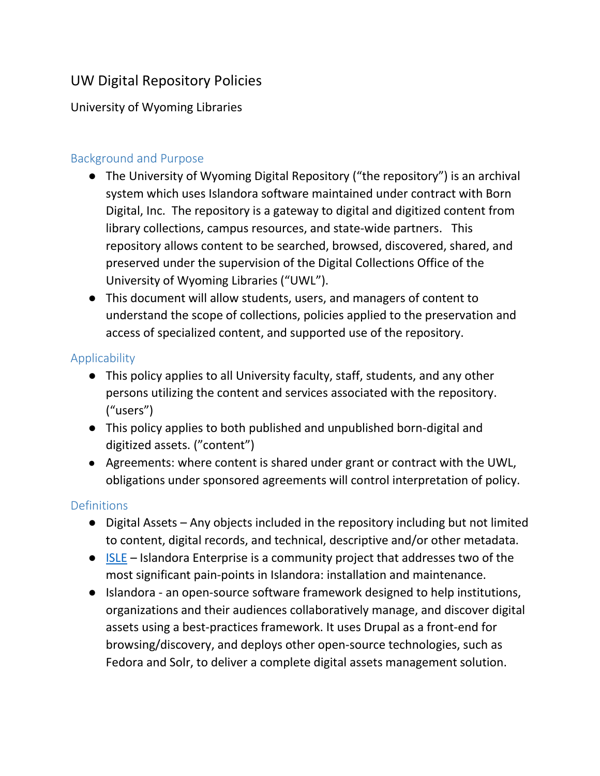# UW Digital Repository Policies

### University of Wyoming Libraries

### Background and Purpose

- The University of Wyoming Digital Repository ("the repository") is an archival system which uses Islandora software maintained under contract with Born Digital, Inc. The repository is a gateway to digital and digitized content from library collections, campus resources, and state-wide partners. This repository allows content to be searched, browsed, discovered, shared, and preserved under the supervision of the Digital Collections Office of the University of Wyoming Libraries ("UWL").
- This document will allow students, users, and managers of content to understand the scope of collections, policies applied to the preservation and access of specialized content, and supported use of the repository.

#### Applicability

- This policy applies to all University faculty, staff, students, and any other persons utilizing the content and services associated with the repository. ("users")
- This policy applies to both published and unpublished born-digital and digitized assets. ("content")
- Agreements: where content is shared under grant or contract with the UWL, obligations under sponsored agreements will control interpretation of policy.

#### **Definitions**

- Digital Assets Any objects included in the repository including but not limited to content, digital records, and technical, descriptive and/or other metadata.
- [ISLE](https://islandora-collaboration-group.github.io/ISLE/) Islandora Enterprise is a community project that addresses two of the most significant pain-points in Islandora: installation and maintenance.
- Islandora an open-source software framework designed to help institutions, organizations and their audiences collaboratively manage, and discover digital assets using a best-practices framework. It uses Drupal as a front-end for browsing/discovery, and deploys other open-source technologies, such as Fedora and Solr, to deliver a complete digital assets management solution.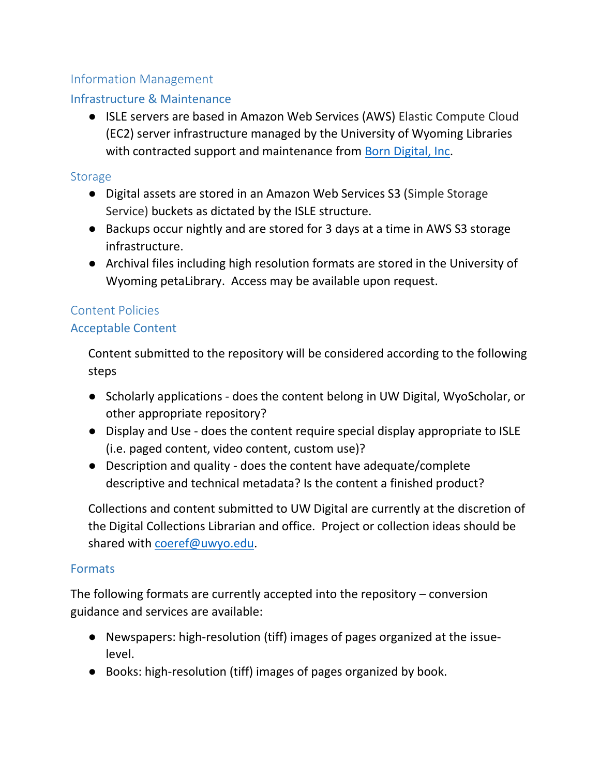# Information Management

## Infrastructure & Maintenance

● ISLE servers are based in Amazon Web Services (AWS) Elastic Compute Cloud (EC2) server infrastructure managed by the University of Wyoming Libraries with contracted support and maintenance from [Born Digital, Inc.](https://born-digital.com/)

#### **Storage**

- Digital assets are stored in an Amazon Web Services S3 (Simple Storage Service) buckets as dictated by the ISLE structure.
- Backups occur nightly and are stored for 3 days at a time in AWS S3 storage infrastructure.
- Archival files including high resolution formats are stored in the University of Wyoming petaLibrary. Access may be available upon request.

## Content Policies

#### Acceptable Content

Content submitted to the repository will be considered according to the following steps

- Scholarly applications does the content belong in UW Digital, WyoScholar, or other appropriate repository?
- Display and Use does the content require special display appropriate to ISLE (i.e. paged content, video content, custom use)?
- Description and quality does the content have adequate/complete descriptive and technical metadata? Is the content a finished product?

Collections and content submitted to UW Digital are currently at the discretion of the Digital Collections Librarian and office. Project or collection ideas should be shared with coeref@uwyo.edu.

#### **Formats**

The following formats are currently accepted into the repository – conversion guidance and services are available:

- Newspapers: high-resolution (tiff) images of pages organized at the issuelevel.
- Books: high-resolution (tiff) images of pages organized by book.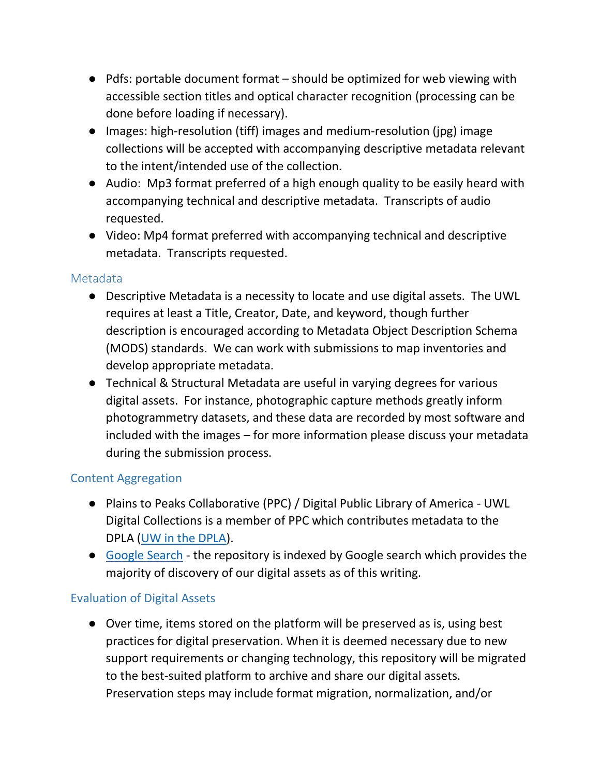- Pdfs: portable document format should be optimized for web viewing with accessible section titles and optical character recognition (processing can be done before loading if necessary).
- Images: high-resolution (tiff) images and medium-resolution (jpg) image collections will be accepted with accompanying descriptive metadata relevant to the intent/intended use of the collection.
- Audio: Mp3 format preferred of a high enough quality to be easily heard with accompanying technical and descriptive metadata. Transcripts of audio requested.
- Video: Mp4 format preferred with accompanying technical and descriptive metadata. Transcripts requested.

#### Metadata

- Descriptive Metadata is a necessity to locate and use digital assets. The UWL requires at least a Title, Creator, Date, and keyword, though further description is encouraged according to Metadata Object Description Schema (MODS) standards. We can work with submissions to map inventories and develop appropriate metadata.
- Technical & Structural Metadata are useful in varying degrees for various digital assets. For instance, photographic capture methods greatly inform photogrammetry datasets, and these data are recorded by most software and included with the images – for more information please discuss your metadata during the submission process.

#### Content Aggregation

- Plains to Peaks Collaborative (PPC) / Digital Public Library of America UWL Digital Collections is a member of PPC which contributes metadata to the DPLA [\(UW in the DPLA\)](https://dp.la/search?partner=%22Plains%20to%20Peaks%20Collective%22&provider=%22University%20of%20Wyoming%22&page=1).
- [Google Search](https://www.google.com/search?q=uwdigital.uwyo.edu) the repository is indexed by Google search which provides the majority of discovery of our digital assets as of this writing.

#### Evaluation of Digital Assets

● Over time, items stored on the platform will be preserved as is, using best practices for digital preservation. When it is deemed necessary due to new support requirements or changing technology, this repository will be migrated to the best-suited platform to archive and share our digital assets. Preservation steps may include format migration, normalization, and/or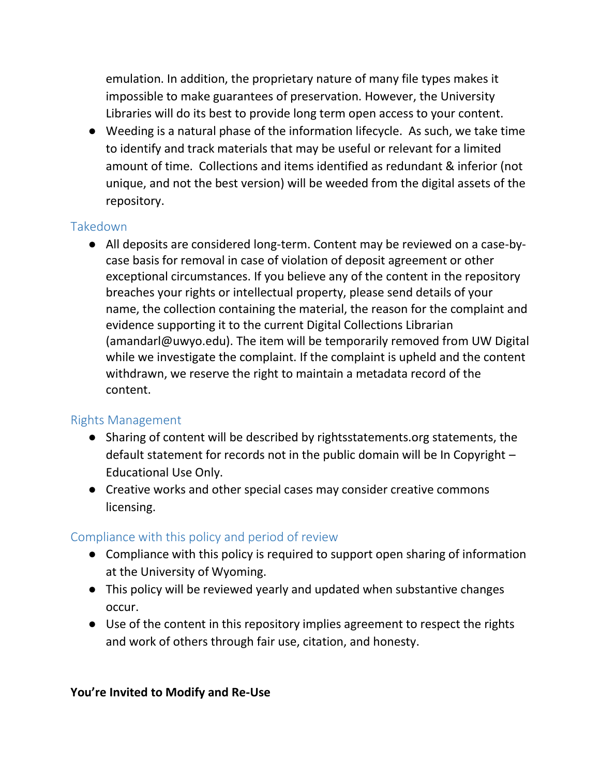emulation. In addition, the proprietary nature of many file types makes it impossible to make guarantees of preservation. However, the University Libraries will do its best to provide long term open access to your content.

● Weeding is a natural phase of the information lifecycle. As such, we take time to identify and track materials that may be useful or relevant for a limited amount of time. Collections and items identified as redundant & inferior (not unique, and not the best version) will be weeded from the digital assets of the repository.

#### Takedown

● All deposits are considered long-term. Content may be reviewed on a case-bycase basis for removal in case of violation of deposit agreement or other exceptional circumstances. If you believe any of the content in the repository breaches your rights or intellectual property, please send details of your name, the collection containing the material, the reason for the complaint and evidence supporting it to the current Digital Collections Librarian (amandarl@uwyo.edu). The item will be temporarily removed from UW Digital while we investigate the complaint. If the complaint is upheld and the content withdrawn, we reserve the right to maintain a metadata record of the content.

# Rights Management

- Sharing of content will be described by rightsstatements.org statements, the default statement for records not in the public domain will be In Copyright – Educational Use Only.
- Creative works and other special cases may consider creative commons licensing.

# Compliance with this policy and period of review

- Compliance with this policy is required to support open sharing of information at the University of Wyoming.
- This policy will be reviewed yearly and updated when substantive changes occur.
- Use of the content in this repository implies agreement to respect the rights and work of others through fair use, citation, and honesty.

#### **You're Invited to Modify and Re-Use**